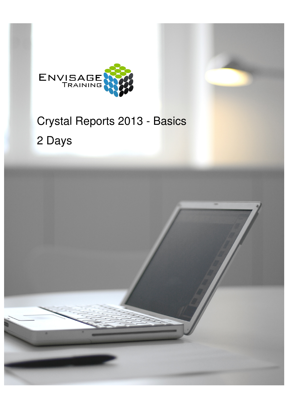

# Crystal Reports 2013 - Basics 2 Days

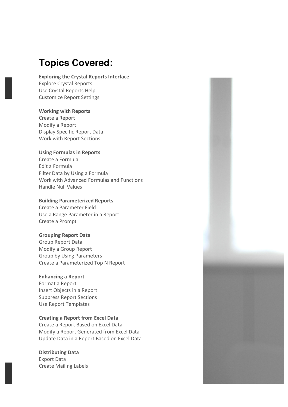## **Topics Covered:**

## **Exploring the Crystal Reports Interface**

Explore Crystal Reports Use Crystal Reports Help Customize Report Settings

## **Working with Reports**

Create a Report Modify a Report Display Specific Report Data Work with Report Sections

## **Using Formulas in Reports**

Create a Formula Edit a Formula Filter Data by Using a Formula Work with Advanced Formulas and Functions Handle Null Values

## **Building Parameterized Reports**

Create a Parameter Field Use a Range Parameter in a Report Create a Prompt

## **Grouping Report Data**

Group Report Data Modify a Group Report Group by Using Parameters Create a Parameterized Top N Report

## **Enhancing a Report**

Format a Report Insert Objects in a Report Suppress Report Sections Use Report Templates

## **Creating a Report from Excel Data**

Create a Report Based on Excel Data Modify a Report Generated from Excel Data Update Data in a Report Based on Excel Data

## **Distributing Data**

Export Data Create Mailing Labels